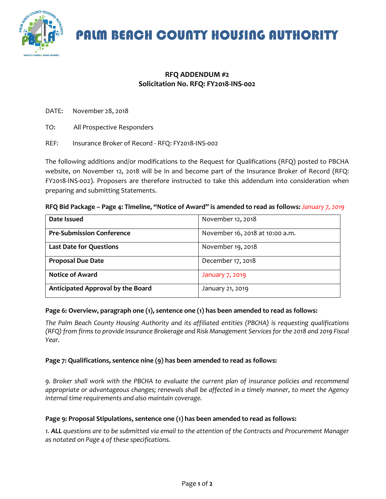

## PALM BEACH COUNTY HOUSING AUTHORITY

### **RFQ ADDENDUM #2 Solicitation No. RFQ: FY2018-INS-002**

DATE: November 28, 2018

- TO: All Prospective Responders
- REF: Insurance Broker of Record RFQ: FY2018-INS-002

The following additions and/or modifications to the Request for Qualifications (RFQ) posted to PBCHA website, on November 12, 2018 will be in and become part of the Insurance Broker of Record (RFQ: FY2018-INS-002). Proposers are therefore instructed to take this addendum into consideration when preparing and submitting Statements.

|  | RFQ Bid Package - Page 4: Timeline, "Notice of Award" is amended to read as follows: January 7, 2019 |  |
|--|------------------------------------------------------------------------------------------------------|--|
|--|------------------------------------------------------------------------------------------------------|--|

| Date Issued                       | November 12, 2018               |
|-----------------------------------|---------------------------------|
| <b>Pre-Submission Conference</b>  | November 16, 2018 at 10:00 a.m. |
| <b>Last Date for Questions</b>    | November 19, 2018               |
| <b>Proposal Due Date</b>          | December 17, 2018               |
| <b>Notice of Award</b>            | January 7, 2019                 |
| Anticipated Approval by the Board | January 21, 2019                |

#### **Page 6: Overview, paragraph one (1), sentence one (1) has been amended to read as follows:**

*The Palm Beach County Housing Authority and its affiliated entities (PBCHA) is requesting qualifications (RFQ) from firms to provide Insurance Brokerage and Risk Management Services for the 2018 and 2019 Fiscal Year.*

#### **Page 7: Qualifications, sentence nine (9) has been amended to read as follows:**

*9. Broker shall work with the PBCHA to evaluate the current plan of insurance policies and recommend appropriate or advantageous changes; renewals shall be affected in a timely manner, to meet the Agency internal time requirements and also maintain coverage.*

#### **Page 9: Proposal Stipulations, sentence one (1) has been amended to read as follows:**

*1. ALL questions are to be submitted via email to the attention of the Contracts and Procurement Manager as notated on Page 4 of these specifications.*